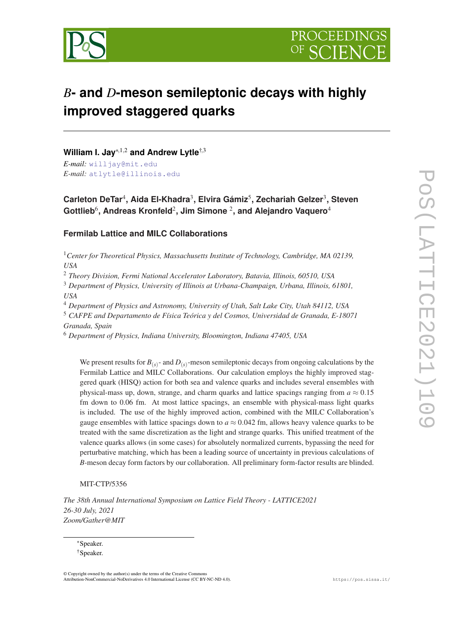

# *B***- and** *D***-meson semileptonic decays with highly improved staggered quarks**

**William I. Jay**\*,1,<sup>2</sup> **and Andrew Lytle**†,<sup>3</sup>

*E-mail:* [willjay@mit.edu](mailto:willjay@mit.edu) *E-mail:* [atlytle@illinois.edu](mailto:atlytle@illinois.edu)

**Carleton DeTar**<sup>4</sup> **, Aida El-Khadra**<sup>3</sup> **, Elvira Gámiz**<sup>5</sup> **, Zechariah Gelzer**<sup>3</sup> **, Steven Gottlieb**<sup>6</sup> **, Andreas Kronfeld**<sup>2</sup> **, Jim Simone** <sup>2</sup> **, and Alejandro Vaquero**<sup>4</sup>

## **Fermilab Lattice and MILC Collaborations**

<sup>1</sup>*Center for Theoretical Physics, Massachusetts Institute of Technology, Cambridge, MA 02139, USA*

<sup>2</sup> *Theory Division, Fermi National Accelerator Laboratory, Batavia, Illinois, 60510, USA*

<sup>3</sup> *Department of Physics, University of Illinois at Urbana-Champaign, Urbana, Illinois, 61801, USA*

<sup>4</sup> *Department of Physics and Astronomy, University of Utah, Salt Lake City, Utah 84112, USA*

<sup>5</sup> *CAFPE and Departamento de Física Teórica y del Cosmos, Universidad de Granada, E-18071 Granada, Spain*

<sup>6</sup> *Department of Physics, Indiana University, Bloomington, Indiana 47405, USA*

We present results for  $B_{(s)}$ - and  $D_{(s)}$ -meson semileptonic decays from ongoing calculations by the Fermilab Lattice and MILC Collaborations. Our calculation employs the highly improved staggered quark (HISQ) action for both sea and valence quarks and includes several ensembles with physical-mass up, down, strange, and charm quarks and lattice spacings ranging from  $a \approx 0.15$ fm down to 0.06 fm. At most lattice spacings, an ensemble with physical-mass light quarks is included. The use of the highly improved action, combined with the MILC Collaboration's gauge ensembles with lattice spacings down to  $a \approx 0.042$  fm, allows heavy valence quarks to be treated with the same discretization as the light and strange quarks. This unified treatment of the valence quarks allows (in some cases) for absolutely normalized currents, bypassing the need for perturbative matching, which has been a leading source of uncertainty in previous calculations of *B*-meson decay form factors by our collaboration. All preliminary form-factor results are blinded.

MIT-CTP/5356

*The 38th Annual International Symposium on Lattice Field Theory - LATTICE2021 26-30 July, 2021 Zoom/Gather@MIT*

\*Speaker. †Speaker.

© Copyright owned by the author(s) under the terms of the Creative Commons Attribution-NonCommercial-NoDerivatives 4.0 International License (CC BY-NC-ND 4.0). https://pos.sissa.it/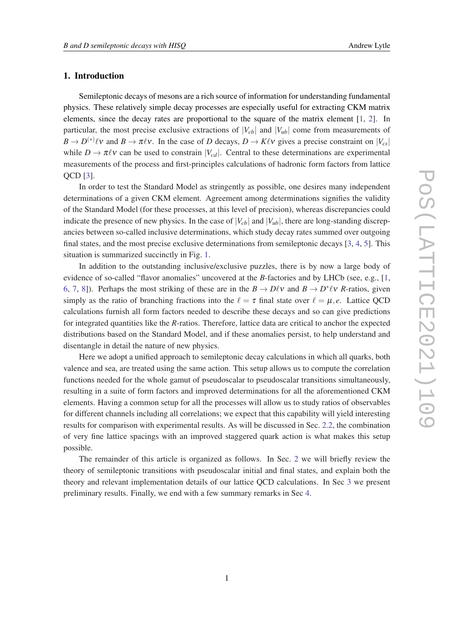## 1. Introduction

Semileptonic decays of mesons are a rich source of information for understanding fundamental physics. These relatively simple decay processes are especially useful for extracting CKM matrix elements, since the decay rates are proportional to the square of the matrix element [\[1,](#page-10-0) [2\]](#page-11-0). In particular, the most precise exclusive extractions of  $|V_{cb}|$  and  $|V_{ub}|$  come from measurements of  $B \to D^{(*)}\ell\nu$  and  $B \to \pi\ell\nu$ . In the case of *D* decays,  $D \to K\ell\nu$  gives a precise constraint on  $|V_{cs}|$ while  $D \to \pi \ell \nu$  can be used to constrain  $|V_{cd}|$ . Central to these determinations are experimental measurements of the process and first-principles calculations of hadronic form factors from lattice QCD [[3](#page-11-0)].

In order to test the Standard Model as stringently as possible, one desires many independent determinations of a given CKM element. Agreement among determinations signifies the validity of the Standard Model (for these processes, at this level of precision), whereas discrepancies could indicate the presence of new physics. In the case of  $|V_{cb}|$  and  $|V_{ub}|$ , there are long-standing discrepancies between so-called inclusive determinations, which study decay rates summed over outgoing final states, and the most precise exclusive determinations from semileptonic decays [[3](#page-11-0), [4](#page-11-0), [5\]](#page-11-0). This situation is summarized succinctly in Fig. [1](#page-2-0).

In addition to the outstanding inclusive/exclusive puzzles, there is by now a large body of evidence of so-called "flavor anomalies" uncovered at the *B*-factories and by LHCb (see, e.g., [[1](#page-10-0), [6,](#page-11-0) [7,](#page-11-0) [8](#page-11-0)]). Perhaps the most striking of these are in the  $B \to D\ell v$  and  $B \to D^* \ell v$  *R*-ratios, given simply as the ratio of branching fractions into the  $\ell = \tau$  final state over  $\ell = \mu, e$ . Lattice QCD calculations furnish all form factors needed to describe these decays and so can give predictions for integrated quantities like the *R*-ratios. Therefore, lattice data are critical to anchor the expected distributions based on the Standard Model, and if these anomalies persist, to help understand and disentangle in detail the nature of new physics.

Here we adopt a unified approach to semileptonic decay calculations in which all quarks, both valence and sea, are treated using the same action. This setup allows us to compute the correlation functions needed for the whole gamut of pseudoscalar to pseudoscalar transitions simultaneously, resulting in a suite of form factors and improved determinations for all the aforementioned CKM elements. Having a common setup for all the processes will allow us to study ratios of observables for different channels including all correlations; we expect that this capability will yield interesting results for comparison with experimental results. As will be discussed in Sec. [2.2](#page-3-0), the combination of very fine lattice spacings with an improved staggered quark action is what makes this setup possible.

The remainder of this article is organized as follows. In Sec. [2](#page-2-0) we will briefly review the theory of semileptonic transitions with pseudoscalar initial and final states, and explain both the theory and relevant implementation details of our lattice QCD calculations. In Sec [3](#page-5-0) we present preliminary results. Finally, we end with a few summary remarks in Sec [4.](#page-9-0)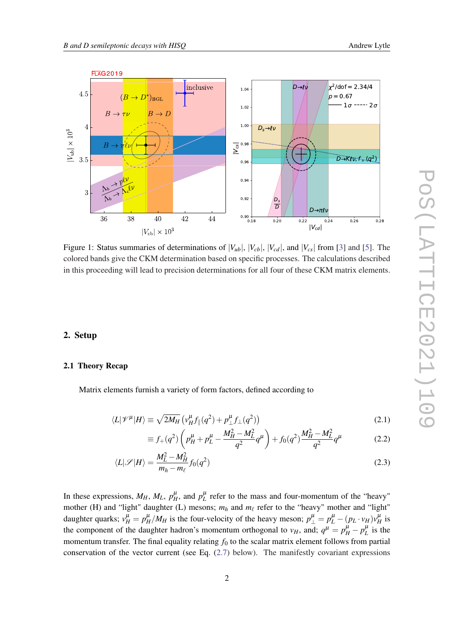

<span id="page-2-0"></span>

Figure 1: Status summaries of determinations of  $|V_{ub}|$ ,  $|V_{cb}|$ ,  $|V_{cd}|$ , and  $|V_{cs}|$  from [[3\]](#page-11-0) and [[5](#page-11-0)]. The colored bands give the CKM determination based on specific processes. The calculations described in this proceeding will lead to precision determinations for all four of these CKM matrix elements.

## 2. Setup

## 2.1 Theory Recap

Matrix elements furnish a variety of form factors, defined according to

$$
\langle L|\mathscr{V}^{\mu}|H\rangle \equiv \sqrt{2M_H} \left( v_H^{\mu} f_{\parallel}(q^2) + p_{\perp}^{\mu} f_{\perp}(q^2) \right)
$$
 (2.1)

$$
\equiv f_{+}(q^{2})\left(p_{H}^{\mu}+p_{L}^{\mu}-\frac{M_{H}^{2}-M_{L}^{2}}{q^{2}}q^{\mu}\right)+f_{0}(q^{2})\frac{M_{H}^{2}-M_{L}^{2}}{q^{2}}q^{\mu}\tag{2.2}
$$

$$
\langle L|\mathscr{S}|H\rangle = \frac{M_L^2 - M_H^2}{m_h - m_\ell} f_0(q^2)
$$
\n(2.3)

In these expressions,  $M_H$ ,  $M_L$ ,  $p_H^{\mu}$ , and  $p_L^{\mu}$  refer to the mass and four-momentum of the "heavy" mother (H) and "light" daughter (L) mesons;  $m_h$  and  $m_\ell$  refer to the "heavy" mother and "light" daughter quarks;  $v_H^{\mu} = p_H^{\mu}/M_H$  is the four-velocity of the heavy meson;  $p_{\perp}^{\mu} = p_L^{\mu} - (p_L \cdot v_H) v_H^{\mu}$  is the component of the daughter hadron's momentum orthogonal to  $v_H$ , and;  $q^{\mu} = p_H^{\mu} - p_L^{\mu}$  is the momentum transfer. The final equality relating  $f_0$  to the scalar matrix element follows from partial conservation of the vector current (see Eq.  $(2.7)$  below). The manifestly covariant expressions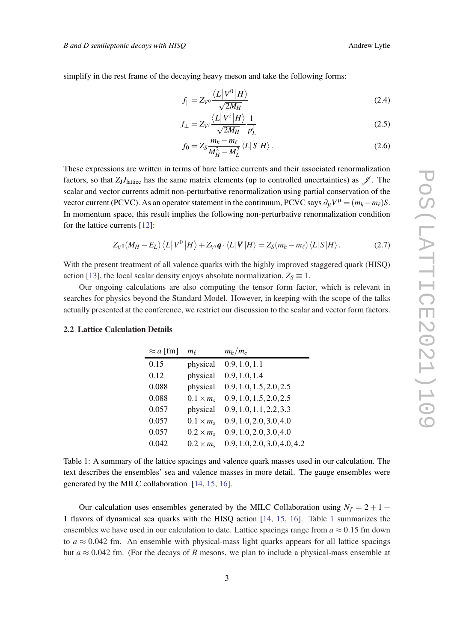<span id="page-3-0"></span>simplify in the rest frame of the decaying heavy meson and take the following forms:

$$
f_{\parallel} = Z_{V^0} \frac{\langle L | V^0 | H \rangle}{\sqrt{2M_H}}
$$
(2.4)

$$
f_{\perp} = Z_{V} \frac{\langle L | V^{i} | H \rangle}{\sqrt{2M_{H}}} \frac{1}{p_{L}^{i}} \tag{2.5}
$$

$$
f_0 = Z_S \frac{m_h - m_\ell}{M_H^2 - M_L^2} \langle L | S | H \rangle. \tag{2.6}
$$

These expressions are written in terms of bare lattice currents and their associated renormalization factors, so that  $Z_1J_1$ <sub>dattice</sub> has the same matrix elements (up to controlled uncertainties) as  $\mathscr{J}$ . The scalar and vector currents admit non-perturbative renormalization using partial conservation of the vector current (PCVC). As an operator statement in the continuum, PCVC says  $\partial_{\mu}V^{\mu} = (m_h - m_{\ell})S$ . In momentum space, this result implies the following non-perturbative renormalization condition for the lattice currents [[12\]](#page-11-0):

$$
Z_{V^0}(M_H - E_L) \langle L | V^0 | H \rangle + Z_{V^i} \mathbf{q} \cdot \langle L | \mathbf{V} | H \rangle = Z_S(m_h - m_\ell) \langle L | S | H \rangle. \tag{2.7}
$$

With the present treatment of all valence quarks with the highly improved staggered quark (HISQ) action [\[13](#page-11-0)], the local scalar density enjoys absolute normalization,  $Z_s \equiv 1$ .

Our ongoing calculations are also computing the tensor form factor, which is relevant in searches for physics beyond the Standard Model. However, in keeping with the scope of the talks actually presented at the conference, we restrict our discussion to the scalar and vector form factors.

## 2.2 Lattice Calculation Details

| $\approx a$ [fm] | $m_\ell$         | $m_h/m_c$                    |
|------------------|------------------|------------------------------|
| 0.15             | physical         | 0.9, 1.0, 1.1                |
| 0.12             | physical         | 0.9, 1.0, 1.4                |
| 0.088            | physical         | 0.9, 1.0, 1.5, 2.0, 2.5      |
| 0.088            | $0.1 \times m_s$ | 0.9, 1.0, 1.5, 2.0, 2.5      |
| 0.057            | physical         | 0.9, 1.0, 1.1, 2.2, 3.3      |
| 0.057            | $0.1 \times m_s$ | 0.9, 1.0, 2.0, 3.0, 4.0      |
| 0.057            | $0.2 \times m$   | 0.9, 1.0, 2.0, 3.0, 4.0      |
| 0.042            | $0.2 \times m_s$ | 0.9, 1.0, 2.0, 3.0, 4.0, 4.2 |

Table 1: A summary of the lattice spacings and valence quark masses used in our calculation. The text describes the ensembles' sea and valence masses in more detail. The gauge ensembles were generated by the MILC collaboration [[14,](#page-11-0) [15](#page-11-0), [16](#page-11-0)].

Our calculation uses ensembles generated by the MILC Collaboration using  $N_f = 2 + 1 + 1$ 1 flavors of dynamical sea quarks with the HISQ action [[14,](#page-11-0) [15](#page-11-0), [16](#page-11-0)]. Table 1 summarizes the ensembles we have used in our calculation to date. Lattice spacings range from  $a \approx 0.15$  fm down to  $a \approx 0.042$  fm. An ensemble with physical-mass light quarks appears for all lattice spacings but  $a \approx 0.042$  fm. (For the decays of *B* mesons, we plan to include a physical-mass ensemble at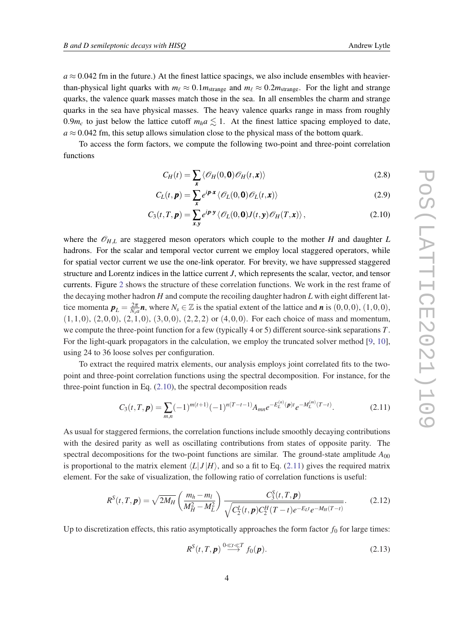<span id="page-4-0"></span> $a \approx 0.042$  fm in the future.) At the finest lattice spacings, we also include ensembles with heavierthan-physical light quarks with  $m_\ell \approx 0.1 m_{\text{strange}}$  and  $m_\ell \approx 0.2 m_{\text{strange}}$ . For the light and strange quarks, the valence quark masses match those in the sea. In all ensembles the charm and strange quarks in the sea have physical masses. The heavy valence quarks range in mass from roughly 0.9 $m_c$  to just below the lattice cutoff  $m_h a \lesssim 1$ . At the finest lattice spacing employed to date,  $a \approx 0.042$  fm, this setup allows simulation close to the physical mass of the bottom quark.

To access the form factors, we compute the following two-point and three-point correlation functions

$$
C_H(t) = \sum_{\mathbf{x}} \langle \mathcal{O}_H(0, \mathbf{0}) \mathcal{O}_H(t, \mathbf{x}) \rangle
$$
 (2.8)

$$
C_L(t, \mathbf{p}) = \sum_{\mathbf{x}} e^{i \mathbf{p} \cdot \mathbf{x}} \langle \mathcal{O}_L(0, \mathbf{0}) \mathcal{O}_L(t, \mathbf{x}) \rangle
$$
 (2.9)

$$
C_3(t,T,\boldsymbol{p}) = \sum_{\boldsymbol{x},\boldsymbol{y}} e^{i\boldsymbol{p}\cdot\boldsymbol{y}} \langle \mathcal{O}_L(0,\boldsymbol{0})J(t,\boldsymbol{y})\mathcal{O}_H(T,\boldsymbol{x}) \rangle, \qquad (2.10)
$$

where the  $\mathcal{O}_{H,L}$  are staggered meson operators which couple to the mother *H* and daughter *L* hadrons. For the scalar and temporal vector current we employ local staggered operators, while for spatial vector current we use the one-link operator. For brevity, we have suppressed staggered structure and Lorentz indices in the lattice current *J*, which represents the scalar, vector, and tensor currents. Figure [2](#page-5-0) shows the structure of these correlation functions. We work in the rest frame of the decaying mother hadron *H* and compute the recoiling daughter hadron *L* with eight different lattice momenta  $p_L = \frac{2\pi}{N_s a} n$ , where  $N_s \in \mathbb{Z}$  is the spatial extent of the lattice and *n* is  $(0,0,0)$ ,  $(1,0,0)$ ,  $(1,1,0), (2,0,0), (2,1,0), (3,0,0), (2,2,2)$  or  $(4,0,0)$ . For each choice of mass and momentum, we compute the three-point function for a few (typically 4 or 5) different source-sink separations *T*. For the light-quark propagators in the calculation, we employ the truncated solver method [[9](#page-11-0), [10\]](#page-11-0), using 24 to 36 loose solves per configuration.

To extract the required matrix elements, our analysis employs joint correlated fits to the twopoint and three-point correlation functions using the spectral decomposition. For instance, for the three-point function in Eq. (2.10), the spectral decomposition reads

$$
C_3(t,T,\mathbf{p}) = \sum_{m,n} (-1)^{m(t+1)} (-1)^{n(T-t-1)} A_{mn} e^{-E_L^{(n)}(\mathbf{p})t} e^{-M_L^{(m)}(T-t)}.
$$
\n(2.11)

As usual for staggered fermions, the correlation functions include smoothly decaying contributions with the desired parity as well as oscillating contributions from states of opposite parity. The spectral decompositions for the two-point functions are similar. The ground-state amplitude  $A_{00}$ is proportional to the matrix element  $\langle L|J|H\rangle$ , and so a fit to Eq. (2.11) gives the required matrix element. For the sake of visualization, the following ratio of correlation functions is useful:

$$
R^{S}(t,T,\boldsymbol{p}) = \sqrt{2M_{H}} \left(\frac{m_{h} - m_{l}}{M_{H}^{2} - M_{L}^{2}}\right) \frac{C_{3}^{S}(t,T,\boldsymbol{p})}{\sqrt{C_{2}^{L}(t,\boldsymbol{p})C_{2}^{H}(T-t)e^{-E_{L}t}e^{-M_{H}(T-t)}}}.
$$
(2.12)

Up to discretization effects, this ratio asymptotically approaches the form factor  $f_0$  for large times:

$$
R^{S}(t,T,\boldsymbol{p}) \stackrel{0 \ll t \ll T}{\longrightarrow} f_0(\boldsymbol{p}).
$$
\n(2.13)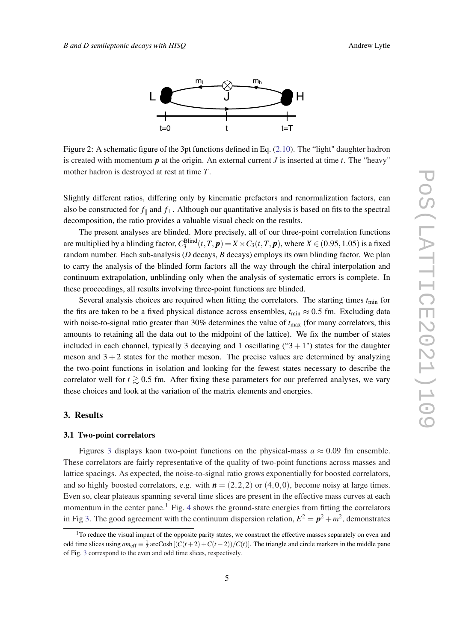<span id="page-5-0"></span>

Figure 2: A schematic figure of the 3pt functions defined in Eq. ([2.10\)](#page-4-0). The "light" daughter hadron is created with momentum  $p$  at the origin. An external current  $J$  is inserted at time  $t$ . The "heavy" mother hadron is destroyed at rest at time *T*.

Slightly different ratios, differing only by kinematic prefactors and renormalization factors, can also be constructed for  $f_{\parallel}$  and  $f_{\perp}$ . Although our quantitative analysis is based on fits to the spectral decomposition, the ratio provides a valuable visual check on the results.

The present analyses are blinded. More precisely, all of our three-point correlation functions are multiplied by a blinding factor,  $C_3^{\text{Blind}}(t,T,\bm p)=X\times C_3(t,T,\bm p),$  where  $X\in(0.95,1.05)$  is a fixed random number. Each sub-analysis (*D* decays, *B* decays) employs its own blinding factor. We plan to carry the analysis of the blinded form factors all the way through the chiral interpolation and continuum extrapolation, unblinding only when the analysis of systematic errors is complete. In these proceedings, all results involving three-point functions are blinded.

Several analysis choices are required when fitting the correlators. The starting times  $t_{\text{min}}$  for the fits are taken to be a fixed physical distance across ensembles,  $t_{\text{min}} \approx 0.5$  fm. Excluding data with noise-to-signal ratio greater than  $30\%$  determines the value of  $t_{\text{max}}$  (for many correlators, this amounts to retaining all the data out to the midpoint of the lattice). We fix the number of states included in each channel, typically 3 decaying and 1 oscillating (" $3 + 1$ ") states for the daughter meson and  $3 + 2$  states for the mother meson. The precise values are determined by analyzing the two-point functions in isolation and looking for the fewest states necessary to describe the correlator well for  $t \geq 0.5$  fm. After fixing these parameters for our preferred analyses, we vary these choices and look at the variation of the matrix elements and energies.

## 3. Results

#### 3.1 Two-point correlators

Figures [3](#page-6-0) displays kaon two-point functions on the physical-mass  $a \approx 0.09$  fm ensemble. These correlators are fairly representative of the quality of two-point functions across masses and lattice spacings. As expected, the noise-to-signal ratio grows exponentially for boosted correlators, and so highly boosted correlators, e.g. with  $\mathbf{n} = (2,2,2)$  or  $(4,0,0)$ , become noisy at large times. Even so, clear plateaus spanning several time slices are present in the effective mass curves at each momentum in the center pane.<sup>1</sup> Fig. [4](#page-6-0) shows the ground-state energies from fitting the correlators in Fig [3](#page-6-0). The good agreement with the continuum dispersion relation,  $E^2 = \mathbf{p}^2 + m^2$ , demonstrates

<sup>&</sup>lt;sup>1</sup>To reduce the visual impact of the opposite parity states, we construct the effective masses separately on even and odd time slices using  $am_{\text{eff}} \equiv \frac{1}{2} \arccosh[(C(t+2) + C(t-2))/C(t)]$ . The triangle and circle markers in the middle pane of Fig. [3](#page-6-0) correspond to the even and odd time slices, respectively.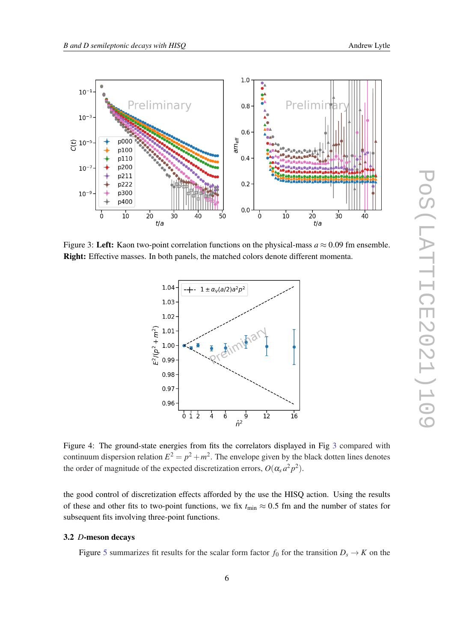<span id="page-6-0"></span>

Figure 3: Left: Kaon two-point correlation functions on the physical-mass  $a \approx 0.09$  fm ensemble. Right: Effective masses. In both panels, the matched colors denote different momenta.



Figure 4: The ground-state energies from fits the correlators displayed in Fig 3 compared with continuum dispersion relation  $E^2 = p^2 + m^2$ . The envelope given by the black dotten lines denotes the order of magnitude of the expected discretization errors,  $O(\alpha_s a^2 p^2)$ .

the good control of discretization effects afforded by the use the HISQ action. Using the results of these and other fits to two-point functions, we fix  $t_{\text{min}} \approx 0.5$  fm and the number of states for subsequent fits involving three-point functions.

## 3.2 *D*-meson decays

Figure [5](#page-7-0) summarizes fit results for the scalar form factor  $f_0$  for the transition  $D_s \to K$  on the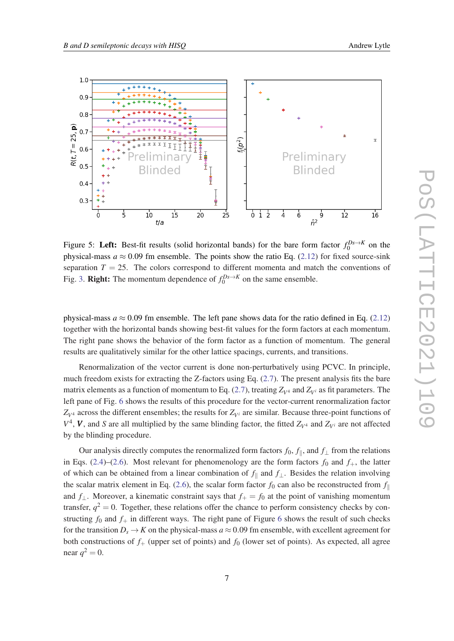<span id="page-7-0"></span>

Figure 5: Left: Best-fit results (solid horizontal bands) for the bare form factor  $f_0^{Ds \to K}$  on the physical-mass  $a \approx 0.09$  fm ensemble. The points show the ratio Eq. [\(2.12](#page-4-0)) for fixed source-sink separation  $T = 25$ . The colors correspond to different momenta and match the conventions of Fig. [3.](#page-6-0) **Right:** The momentum dependence of  $f_0^{Ds \to K}$  on the same ensemble.

physical-mass  $a \approx 0.09$  fm ensemble. The left pane shows data for the ratio defined in Eq. [\(2.12](#page-4-0)) together with the horizontal bands showing best-fit values for the form factors at each momentum. The right pane shows the behavior of the form factor as a function of momentum. The general results are qualitatively similar for the other lattice spacings, currents, and transitions.

Renormalization of the vector current is done non-perturbatively using PCVC. In principle, much freedom exists for extracting the Z-factors using Eq. [\(2.7\)](#page-3-0). The present analysis fits the bare matrix elements as a function of momentum to Eq. ([2.7](#page-3-0)), treating  $Z_{V^4}$  and  $Z_{V^4}$  as fit parameters. The left pane of Fig. [6](#page-8-0) shows the results of this procedure for the vector-current renormalization factor  $Z_{V^4}$  across the different ensembles; the results for  $Z_{V^i}$  are similar. Because three-point functions of  $V^4$ , *V*, and *S* are all multiplied by the same blinding factor, the fitted  $Z_{V^4}$  and  $Z_{V^i}$  are not affected by the blinding procedure.

Our analysis directly computes the renormalized form factors  $f_0$ ,  $f_{\parallel}$ , and  $f_{\perp}$  from the relations in Eqs. ([2.4\)](#page-3-0)–[\(2.6\)](#page-3-0). Most relevant for phenomenology are the form factors  $f_0$  and  $f_+$ , the latter of which can be obtained from a linear combination of  $f_{\parallel}$  and  $f_{\perp}$ . Besides the relation involving the scalar matrix element in Eq. ([2.6](#page-3-0)), the scalar form factor  $f_0$  can also be reconstructed from  $f_{\parallel}$ and  $f_{\perp}$ . Moreover, a kinematic constraint says that  $f_{+} = f_0$  at the point of vanishing momentum transfer,  $q^2 = 0$ . Together, these relations offer the chance to perform consistency checks by constructing  $f_0$  and  $f_+$  in different ways. The right pane of Figure [6](#page-8-0) shows the result of such checks for the transition  $D_s \to K$  on the physical-mass  $a \approx 0.09$  fm ensemble, with excellent agreement for both constructions of  $f_+$  (upper set of points) and  $f_0$  (lower set of points). As expected, all agree near  $q^2 = 0$ .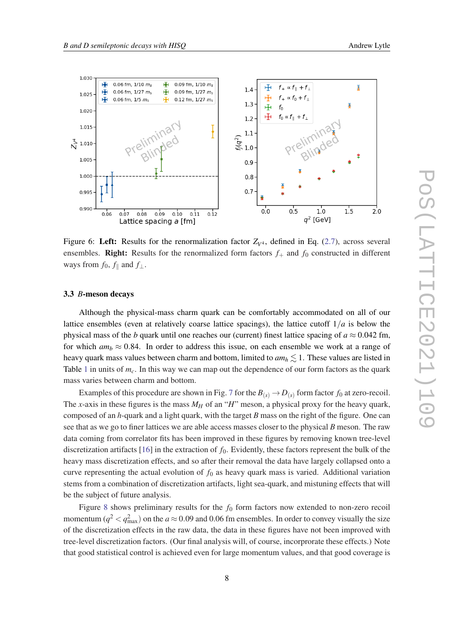<span id="page-8-0"></span>

Figure 6: Left: Results for the renormalization factor  $Z_{V^4}$ , defined in Eq. ([2.7](#page-3-0)), across several ensembles. **Right:** Results for the renormalized form factors  $f_+$  and  $f_0$  constructed in different ways from  $f_0$ ,  $f_{\parallel}$  and  $f_{\perp}$ .

#### 3.3 *B*-meson decays

Although the physical-mass charm quark can be comfortably accommodated on all of our lattice ensembles (even at relatively coarse lattice spacings), the lattice cutoff  $1/a$  is below the physical mass of the *b* quark until one reaches our (current) finest lattice spacing of  $a \approx 0.042$  fm, for which  $am_b \approx 0.84$ . In order to address this issue, on each ensemble we work at a range of heavy quark mass values between charm and bottom, limited to  $am_h \lesssim 1$ . These values are listed in Table [1](#page-3-0) in units of *mc*. In this way we can map out the dependence of our form factors as the quark mass varies between charm and bottom.

Examples of this procedure are shown in Fig. [7](#page-9-0) for the  $B_{(s)} \to D_{(s)}$  form factor  $f_0$  at zero-recoil. The *x*-axis in these figures is the mass  $M_H$  of an "*H*" meson, a physical proxy for the heavy quark, composed of an *h*-quark and a light quark, with the target *B* mass on the right of the figure. One can see that as we go to finer lattices we are able access masses closer to the physical *B* meson. The raw data coming from correlator fits has been improved in these figures by removing known tree-level discretization artifacts [[16\]](#page-11-0) in the extraction of  $f_0$ . Evidently, these factors represent the bulk of the heavy mass discretization effects, and so after their removal the data have largely collapsed onto a curve representing the actual evolution of  $f_0$  as heavy quark mass is varied. Additional variation stems from a combination of discretization artifacts, light sea-quark, and mistuning effects that will be the subject of future analysis.

Figure [8](#page-9-0) shows preliminary results for the  $f_0$  form factors now extended to non-zero recoil momentum ( $q^2 < q^2_{\text{max}}$ ) on the  $a \approx 0.09$  and 0.06 fm ensembles. In order to convey visually the size of the discretization effects in the raw data, the data in these figures have not been improved with tree-level discretization factors. (Our final analysis will, of course, incorprorate these effects.) Note that good statistical control is achieved even for large momentum values, and that good coverage is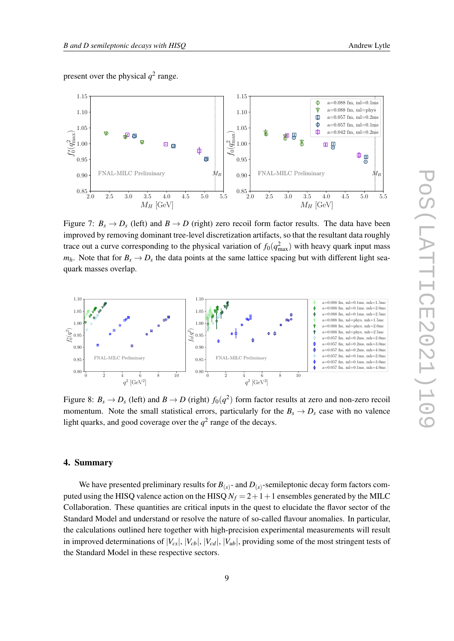<span id="page-9-0"></span>

Figure 7:  $B_s \rightarrow D_s$  (left) and  $B \rightarrow D$  (right) zero recoil form factor results. The data have been improved by removing dominant tree-level discretization artifacts, so that the resultant data roughly trace out a curve corresponding to the physical variation of  $f_0(q_{\text{max}}^2)$  with heavy quark input mass  $m_h$ . Note that for  $B_s \to D_s$  the data points at the same lattice spacing but with different light seaquark masses overlap.



Figure 8:  $B_s \to D_s$  (left) and  $B \to D$  (right)  $f_0(q^2)$  form factor results at zero and non-zero recoil momentum. Note the small statistical errors, particularly for the  $B_s \rightarrow D_s$  case with no valence light quarks, and good coverage over the  $q^2$  range of the decays.

## 4. Summary

We have presented preliminary results for  $B_{(s)}$ - and  $D_{(s)}$ -semileptonic decay form factors computed using the HISQ valence action on the HISQ  $N_f = 2 + 1 + 1$  ensembles generated by the MILC Collaboration. These quantities are critical inputs in the quest to elucidate the flavor sector of the Standard Model and understand or resolve the nature of so-called flavour anomalies. In particular, the calculations outlined here together with high-precision experimental measurements will result in improved determinations of  $|V_{cs}|$ ,  $|V_{cb}|$ ,  $|V_{cd}|$ ,  $|V_{ub}|$ , providing some of the most stringent tests of the Standard Model in these respective sectors.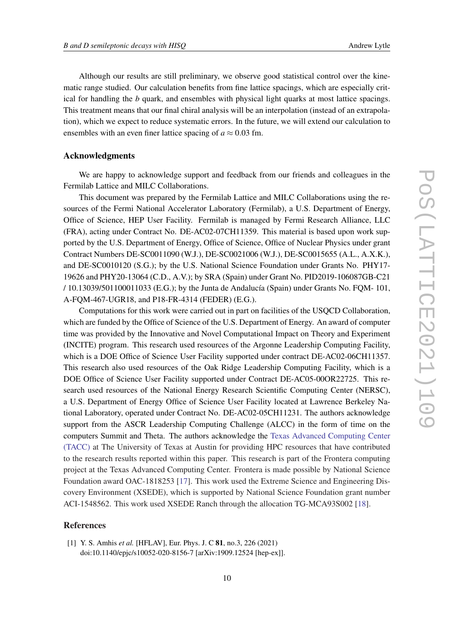<span id="page-10-0"></span>Although our results are still preliminary, we observe good statistical control over the kinematic range studied. Our calculation benefits from fine lattice spacings, which are especially critical for handling the *b* quark, and ensembles with physical light quarks at most lattice spacings. This treatment means that our final chiral analysis will be an interpolation (instead of an extrapolation), which we expect to reduce systematic errors. In the future, we will extend our calculation to ensembles with an even finer lattice spacing of  $a \approx 0.03$  fm.

### Acknowledgments

We are happy to acknowledge support and feedback from our friends and colleagues in the Fermilab Lattice and MILC Collaborations.

This document was prepared by the Fermilab Lattice and MILC Collaborations using the resources of the Fermi National Accelerator Laboratory (Fermilab), a U.S. Department of Energy, Office of Science, HEP User Facility. Fermilab is managed by Fermi Research Alliance, LLC (FRA), acting under Contract No. DE-AC02-07CH11359. This material is based upon work supported by the U.S. Department of Energy, Office of Science, Office of Nuclear Physics under grant Contract Numbers DE-SC0011090 (W.J.), DE-SC0021006 (W.J.), DE-SC0015655 (A.L., A.X.K.), and DE-SC0010120 (S.G.); by the U.S. National Science Foundation under Grants No. PHY17- 19626 and PHY20-13064 (C.D., A.V.); by SRA (Spain) under Grant No. PID2019-106087GB-C21 / 10.13039/501100011033 (E.G.); by the Junta de Andalucía (Spain) under Grants No. FQM- 101, A-FQM-467-UGR18, and P18-FR-4314 (FEDER) (E.G.).

Computations for this work were carried out in part on facilities of the USQCD Collaboration, which are funded by the Office of Science of the U.S. Department of Energy. An award of computer time was provided by the Innovative and Novel Computational Impact on Theory and Experiment (INCITE) program. This research used resources of the Argonne Leadership Computing Facility, which is a DOE Office of Science User Facility supported under contract DE-AC02-06CH11357. This research also used resources of the Oak Ridge Leadership Computing Facility, which is a DOE Office of Science User Facility supported under Contract DE-AC05-00OR22725. This research used resources of the National Energy Research Scientific Computing Center (NERSC), a U.S. Department of Energy Office of Science User Facility located at Lawrence Berkeley National Laboratory, operated under Contract No. DE-AC02-05CH11231. The authors acknowledge support from the ASCR Leadership Computing Challenge (ALCC) in the form of time on the computers Summit and Theta. The authors acknowledge the [Texas Advanced Computing Center](http://www.tacc.utexas.edu) [\(TACC\)](http://www.tacc.utexas.edu) at The University of Texas at Austin for providing HPC resources that have contributed to the research results reported within this paper. This research is part of the Frontera computing project at the Texas Advanced Computing Center. Frontera is made possible by National Science Foundation award OAC-1818253 [\[17](#page-11-0)]. This work used the Extreme Science and Engineering Discovery Environment (XSEDE), which is supported by National Science Foundation grant number ACI-1548562. This work used XSEDE Ranch through the allocation TG-MCA93S002 [\[18](#page-11-0)].

## References

[1] Y. S. Amhis *et al.* [HFLAV], Eur. Phys. J. C 81, no.3, 226 (2021) doi:10.1140/epjc/s10052-020-8156-7 [arXiv:1909.12524 [hep-ex]].